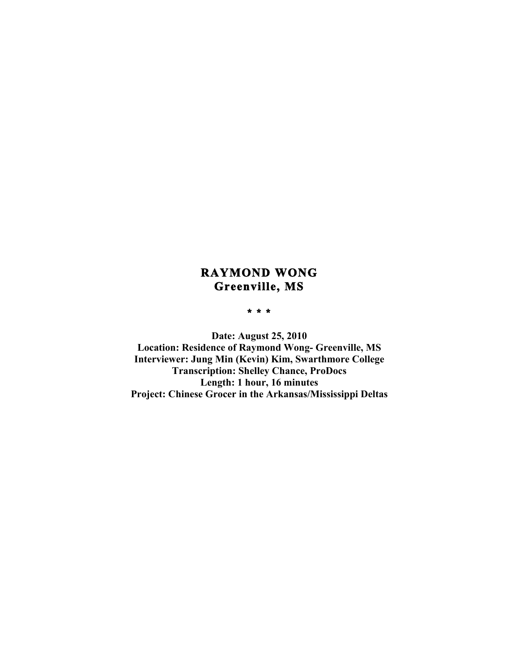# **RAYMOND WONG Greenville, MS**

## **\* \* \***

**Date: August 25, 2010 Location: Residence of Raymond Wong- Greenville, MS Interviewer: Jung Min (Kevin) Kim, Swarthmore College Transcription: Shelley Chance, ProDocs Length: 1 hour, 16 minutes Project: Chinese Grocer in the Arkansas/Mississippi Deltas**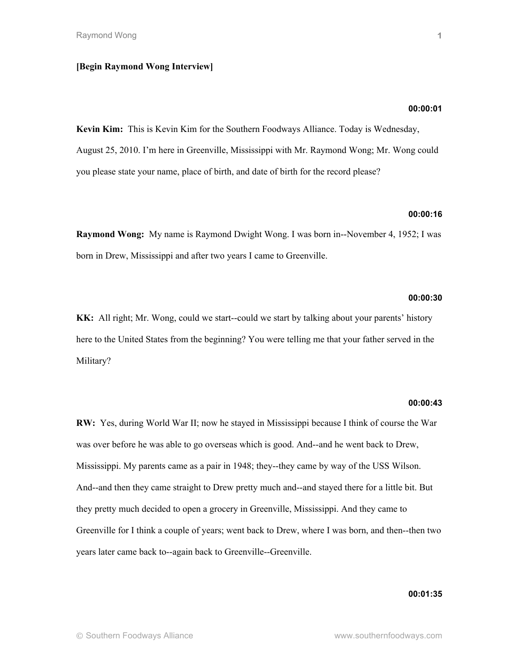## **[Begin Raymond Wong Interview]**

# **00:00:01**

**Kevin Kim:** This is Kevin Kim for the Southern Foodways Alliance. Today is Wednesday, August 25, 2010. I'm here in Greenville, Mississippi with Mr. Raymond Wong; Mr. Wong could you please state your name, place of birth, and date of birth for the record please?

# **00:00:16**

**Raymond Wong:** My name is Raymond Dwight Wong. I was born in--November 4, 1952; I was born in Drew, Mississippi and after two years I came to Greenville.

## **00:00:30**

**KK:** All right; Mr. Wong, could we start--could we start by talking about your parents' history here to the United States from the beginning? You were telling me that your father served in the Military?

## **00:00:43**

**RW:** Yes, during World War II; now he stayed in Mississippi because I think of course the War was over before he was able to go overseas which is good. And--and he went back to Drew, Mississippi. My parents came as a pair in 1948; they--they came by way of the USS Wilson. And--and then they came straight to Drew pretty much and--and stayed there for a little bit. But they pretty much decided to open a grocery in Greenville, Mississippi. And they came to Greenville for I think a couple of years; went back to Drew, where I was born, and then--then two years later came back to--again back to Greenville--Greenville.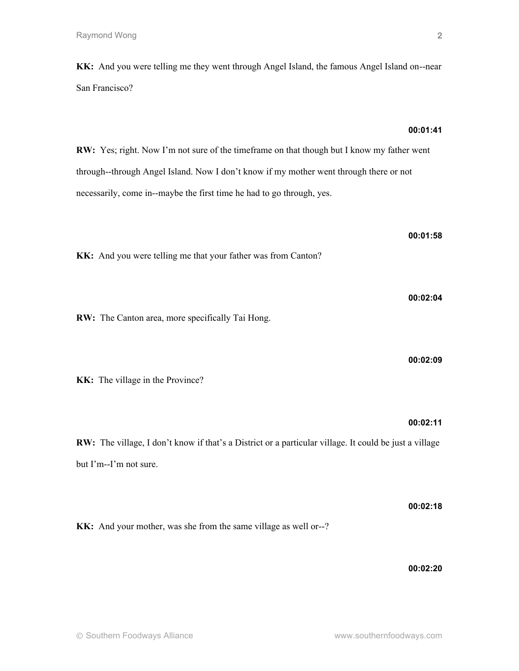**KK:** And you were telling me they went through Angel Island, the famous Angel Island on--near San Francisco?

# **RW:** Yes; right. Now I'm not sure of the timeframe on that though but I know my father went through--through Angel Island. Now I don't know if my mother went through there or not necessarily, come in--maybe the first time he had to go through, yes.

**KK:** And you were telling me that your father was from Canton?

**00:02:04**

**RW:** The Canton area, more specifically Tai Hong.

**KK:** The village in the Province?

**RW:** The village, I don't know if that's a District or a particular village. It could be just a village but I'm--I'm not sure.

**00:02:18 KK:** And your mother, was she from the same village as well or--?

**00:02:20**

**00:01:41**

**00:01:58**

**00:02:09**

**00:02:11**

**2**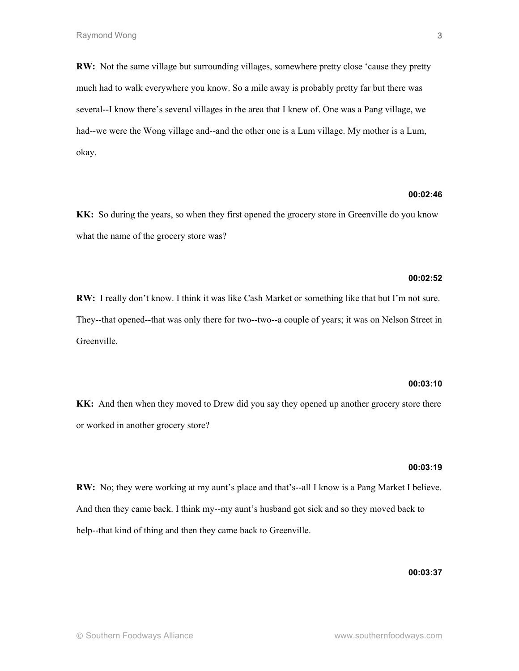**RW:** Not the same village but surrounding villages, somewhere pretty close 'cause they pretty much had to walk everywhere you know. So a mile away is probably pretty far but there was several--I know there's several villages in the area that I knew of. One was a Pang village, we had--we were the Wong village and--and the other one is a Lum village. My mother is a Lum, okay.

# **00:02:46**

**KK:** So during the years, so when they first opened the grocery store in Greenville do you know what the name of the grocery store was?

## **00:02:52**

**RW:** I really don't know. I think it was like Cash Market or something like that but I'm not sure. They--that opened--that was only there for two--two--a couple of years; it was on Nelson Street in Greenville.

# **00:03:10**

**KK:** And then when they moved to Drew did you say they opened up another grocery store there or worked in another grocery store?

## **00:03:19**

**RW:** No; they were working at my aunt's place and that's--all I know is a Pang Market I believe. And then they came back. I think my--my aunt's husband got sick and so they moved back to help--that kind of thing and then they came back to Greenville.

## **00:03:37**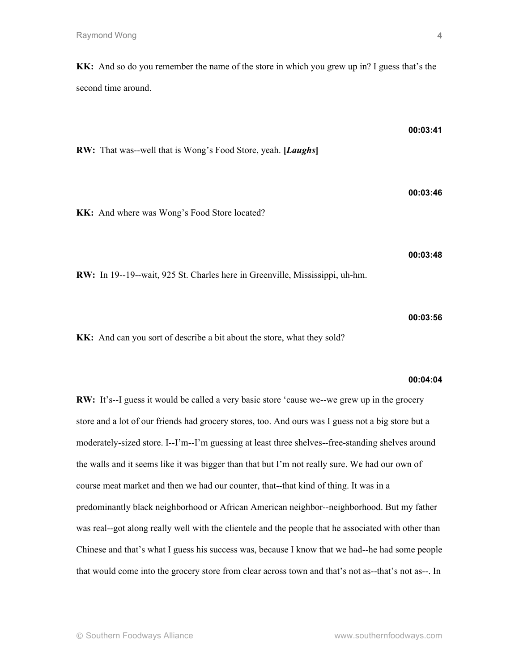**KK:** And so do you remember the name of the store in which you grew up in? I guess that's the second time around.

**00:03:41 RW:** That was--well that is Wong's Food Store, yeah. **[***Laughs***] 00:03:46 KK:** And where was Wong's Food Store located? **00:03:48 RW:** In 19--19--wait, 925 St. Charles here in Greenville, Mississippi, uh-hm.

**KK:** And can you sort of describe a bit about the store, what they sold?

## **00:04:04**

**00:03:56**

**RW:** It's--I guess it would be called a very basic store 'cause we--we grew up in the grocery store and a lot of our friends had grocery stores, too. And ours was I guess not a big store but a moderately-sized store. I--I'm--I'm guessing at least three shelves--free-standing shelves around the walls and it seems like it was bigger than that but I'm not really sure. We had our own of course meat market and then we had our counter, that--that kind of thing. It was in a predominantly black neighborhood or African American neighbor--neighborhood. But my father was real--got along really well with the clientele and the people that he associated with other than Chinese and that's what I guess his success was, because I know that we had--he had some people that would come into the grocery store from clear across town and that's not as--that's not as--. In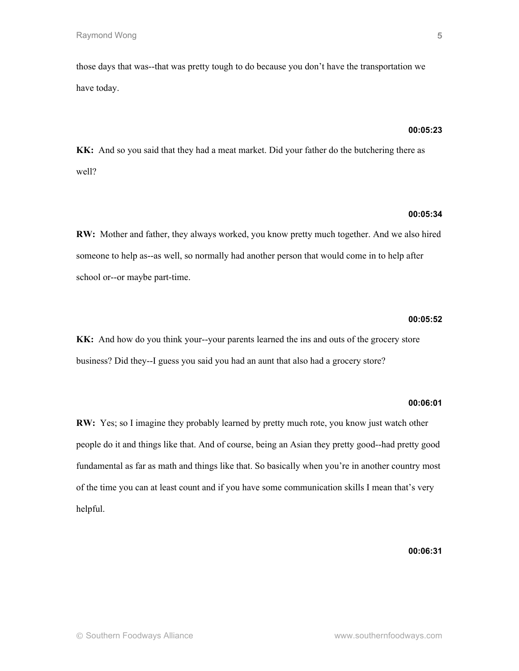those days that was--that was pretty tough to do because you don't have the transportation we have today.

# **00:05:23**

**KK:** And so you said that they had a meat market. Did your father do the butchering there as well?

# **00:05:34**

**RW:** Mother and father, they always worked, you know pretty much together. And we also hired someone to help as--as well, so normally had another person that would come in to help after school or--or maybe part-time.

# **00:05:52**

**KK:** And how do you think your--your parents learned the ins and outs of the grocery store business? Did they--I guess you said you had an aunt that also had a grocery store?

## **00:06:01**

**RW:** Yes; so I imagine they probably learned by pretty much rote, you know just watch other people do it and things like that. And of course, being an Asian they pretty good--had pretty good fundamental as far as math and things like that. So basically when you're in another country most of the time you can at least count and if you have some communication skills I mean that's very helpful.

# **00:06:31**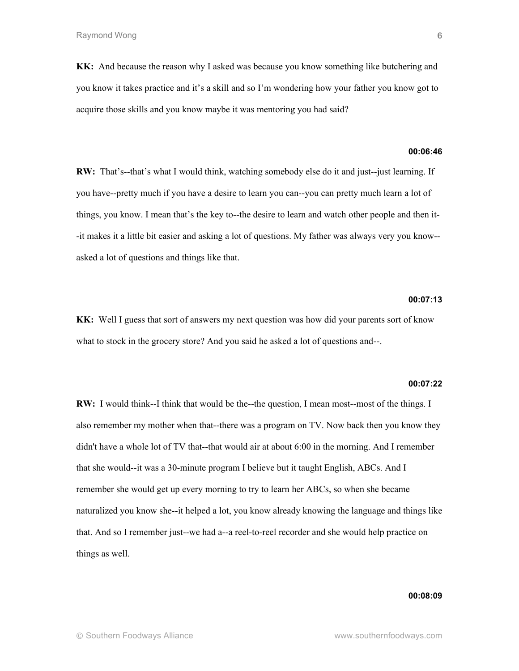**KK:** And because the reason why I asked was because you know something like butchering and you know it takes practice and it's a skill and so I'm wondering how your father you know got to acquire those skills and you know maybe it was mentoring you had said?

## **00:06:46**

**RW:** That's--that's what I would think, watching somebody else do it and just--just learning. If you have--pretty much if you have a desire to learn you can--you can pretty much learn a lot of things, you know. I mean that's the key to--the desire to learn and watch other people and then it- -it makes it a little bit easier and asking a lot of questions. My father was always very you know- asked a lot of questions and things like that.

# **00:07:13**

**KK:** Well I guess that sort of answers my next question was how did your parents sort of know what to stock in the grocery store? And you said he asked a lot of questions and--.

## **00:07:22**

**RW:** I would think--I think that would be the--the question, I mean most--most of the things. I also remember my mother when that--there was a program on TV. Now back then you know they didn't have a whole lot of TV that--that would air at about 6:00 in the morning. And I remember that she would--it was a 30-minute program I believe but it taught English, ABCs. And I remember she would get up every morning to try to learn her ABCs, so when she became naturalized you know she--it helped a lot, you know already knowing the language and things like that. And so I remember just--we had a--a reel-to-reel recorder and she would help practice on things as well.

## **00:08:09**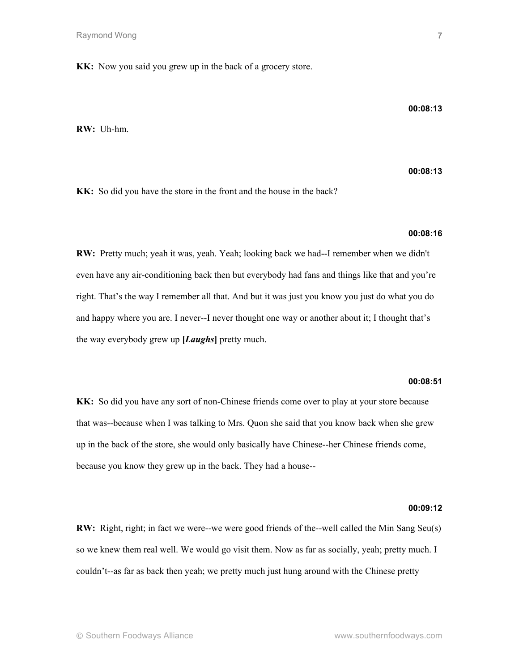**KK:** Now you said you grew up in the back of a grocery store.

## **00:08:13**

**RW:** Uh-hm.

**00:08:13**

**KK:** So did you have the store in the front and the house in the back?

# **00:08:16**

**RW:** Pretty much; yeah it was, yeah. Yeah; looking back we had--I remember when we didn't even have any air-conditioning back then but everybody had fans and things like that and you're right. That's the way I remember all that. And but it was just you know you just do what you do and happy where you are. I never--I never thought one way or another about it; I thought that's the way everybody grew up **[***Laughs***]** pretty much.

# **00:08:51**

**KK:** So did you have any sort of non-Chinese friends come over to play at your store because that was--because when I was talking to Mrs. Quon she said that you know back when she grew up in the back of the store, she would only basically have Chinese--her Chinese friends come, because you know they grew up in the back. They had a house--

## **00:09:12**

**RW:** Right, right; in fact we were--we were good friends of the--well called the Min Sang Seu(s) so we knew them real well. We would go visit them. Now as far as socially, yeah; pretty much. I couldn't--as far as back then yeah; we pretty much just hung around with the Chinese pretty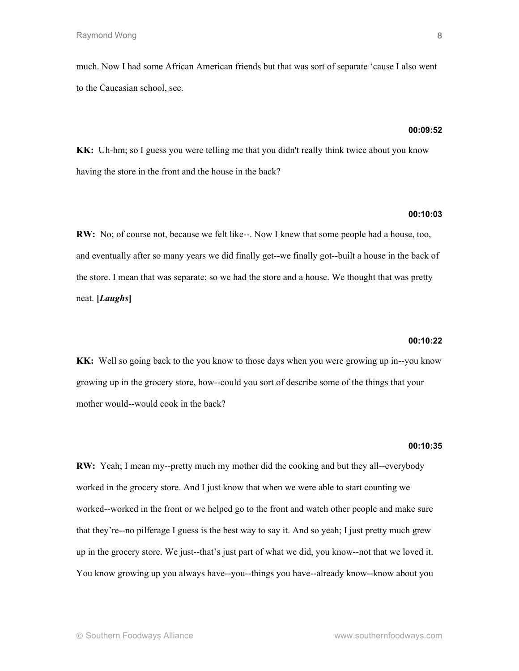much. Now I had some African American friends but that was sort of separate 'cause I also went to the Caucasian school, see.

## **00:09:52**

**KK:** Uh-hm; so I guess you were telling me that you didn't really think twice about you know having the store in the front and the house in the back?

# **00:10:03**

**RW:** No; of course not, because we felt like--. Now I knew that some people had a house, too, and eventually after so many years we did finally get--we finally got--built a house in the back of the store. I mean that was separate; so we had the store and a house. We thought that was pretty neat. **[***Laughs***]**

# **00:10:22**

**KK:** Well so going back to the you know to those days when you were growing up in--you know growing up in the grocery store, how--could you sort of describe some of the things that your mother would--would cook in the back?

#### **00:10:35**

**RW:** Yeah; I mean my--pretty much my mother did the cooking and but they all--everybody worked in the grocery store. And I just know that when we were able to start counting we worked--worked in the front or we helped go to the front and watch other people and make sure that they're--no pilferage I guess is the best way to say it. And so yeah; I just pretty much grew up in the grocery store. We just--that's just part of what we did, you know--not that we loved it. You know growing up you always have--you--things you have--already know--know about you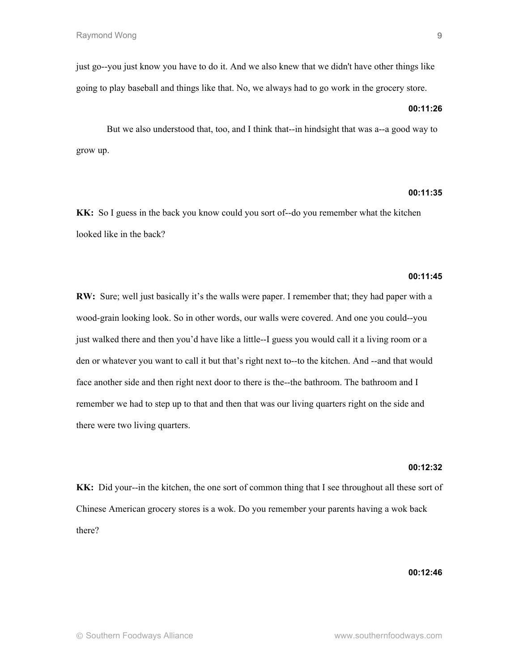just go--you just know you have to do it. And we also knew that we didn't have other things like going to play baseball and things like that. No, we always had to go work in the grocery store.

## **00:11:26**

But we also understood that, too, and I think that--in hindsight that was a--a good way to grow up.

## **00:11:35**

**KK:** So I guess in the back you know could you sort of--do you remember what the kitchen looked like in the back?

# **00:11:45**

**RW:** Sure; well just basically it's the walls were paper. I remember that; they had paper with a wood-grain looking look. So in other words, our walls were covered. And one you could--you just walked there and then you'd have like a little--I guess you would call it a living room or a den or whatever you want to call it but that's right next to--to the kitchen. And --and that would face another side and then right next door to there is the--the bathroom. The bathroom and I remember we had to step up to that and then that was our living quarters right on the side and there were two living quarters.

## **00:12:32**

**KK:** Did your--in the kitchen, the one sort of common thing that I see throughout all these sort of Chinese American grocery stores is a wok. Do you remember your parents having a wok back there?

## **00:12:46**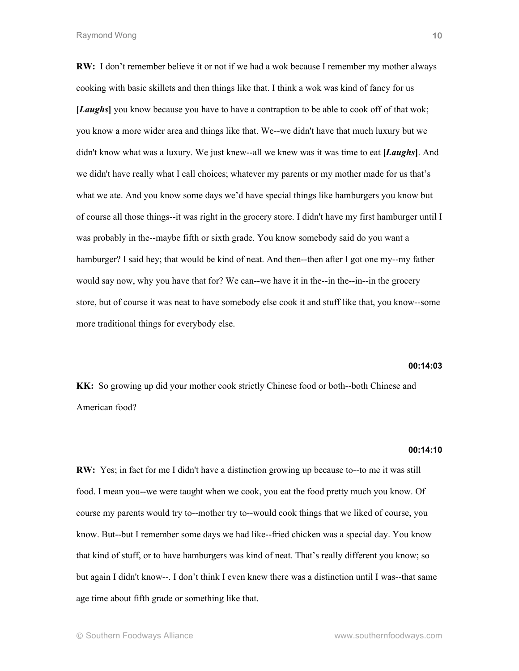**RW:** I don't remember believe it or not if we had a wok because I remember my mother always cooking with basic skillets and then things like that. I think a wok was kind of fancy for us **[***Laughs***]** you know because you have to have a contraption to be able to cook off of that wok; you know a more wider area and things like that. We--we didn't have that much luxury but we didn't know what was a luxury. We just knew--all we knew was it was time to eat **[***Laughs***]**. And we didn't have really what I call choices; whatever my parents or my mother made for us that's what we ate. And you know some days we'd have special things like hamburgers you know but of course all those things--it was right in the grocery store. I didn't have my first hamburger until I was probably in the--maybe fifth or sixth grade. You know somebody said do you want a hamburger? I said hey; that would be kind of neat. And then--then after I got one my--my father would say now, why you have that for? We can--we have it in the--in the--in--in the grocery store, but of course it was neat to have somebody else cook it and stuff like that, you know--some more traditional things for everybody else.

**00:14:03**

**KK:** So growing up did your mother cook strictly Chinese food or both--both Chinese and American food?

#### **00:14:10**

**RW:** Yes; in fact for me I didn't have a distinction growing up because to--to me it was still food. I mean you--we were taught when we cook, you eat the food pretty much you know. Of course my parents would try to--mother try to--would cook things that we liked of course, you know. But--but I remember some days we had like--fried chicken was a special day. You know that kind of stuff, or to have hamburgers was kind of neat. That's really different you know; so but again I didn't know--. I don't think I even knew there was a distinction until I was--that same age time about fifth grade or something like that.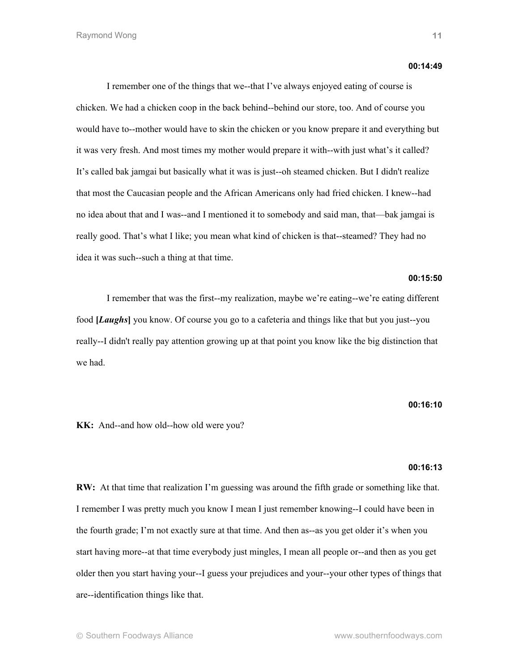#### **00:14:49**

I remember one of the things that we--that I've always enjoyed eating of course is chicken. We had a chicken coop in the back behind--behind our store, too. And of course you would have to--mother would have to skin the chicken or you know prepare it and everything but it was very fresh. And most times my mother would prepare it with--with just what's it called? It's called bak jamgai but basically what it was is just--oh steamed chicken. But I didn't realize that most the Caucasian people and the African Americans only had fried chicken. I knew--had no idea about that and I was--and I mentioned it to somebody and said man, that—bak jamgai is really good. That's what I like; you mean what kind of chicken is that--steamed? They had no idea it was such--such a thing at that time.

## **00:15:50**

I remember that was the first--my realization, maybe we're eating--we're eating different food **[***Laughs***]** you know. Of course you go to a cafeteria and things like that but you just--you really--I didn't really pay attention growing up at that point you know like the big distinction that we had.

# **00:16:10**

**KK:** And--and how old--how old were you?

## **00:16:13**

**RW:** At that time that realization I'm guessing was around the fifth grade or something like that. I remember I was pretty much you know I mean I just remember knowing--I could have been in the fourth grade; I'm not exactly sure at that time. And then as--as you get older it's when you start having more--at that time everybody just mingles, I mean all people or--and then as you get older then you start having your--I guess your prejudices and your--your other types of things that are--identification things like that.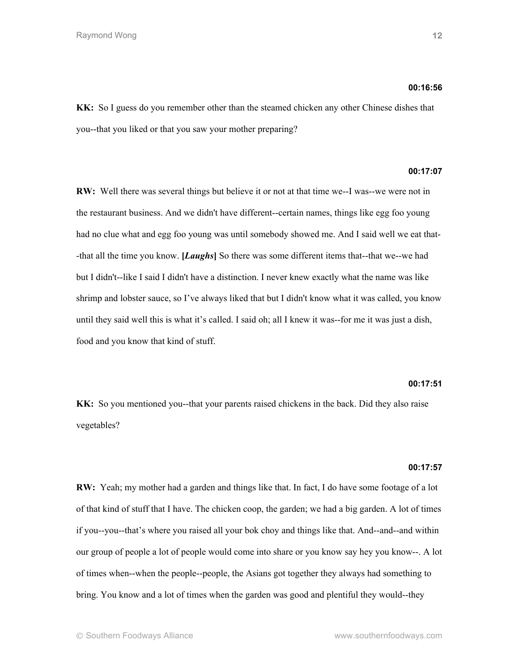## **00:16:56**

**KK:** So I guess do you remember other than the steamed chicken any other Chinese dishes that you--that you liked or that you saw your mother preparing?

# **00:17:07**

**RW:** Well there was several things but believe it or not at that time we--I was--we were not in the restaurant business. And we didn't have different--certain names, things like egg foo young had no clue what and egg foo young was until somebody showed me. And I said well we eat that- -that all the time you know. **[***Laughs***]** So there was some different items that--that we--we had but I didn't--like I said I didn't have a distinction. I never knew exactly what the name was like shrimp and lobster sauce, so I've always liked that but I didn't know what it was called, you know until they said well this is what it's called. I said oh; all I knew it was--for me it was just a dish, food and you know that kind of stuff.

# **00:17:51**

**KK:** So you mentioned you--that your parents raised chickens in the back. Did they also raise vegetables?

## **00:17:57**

**RW:** Yeah; my mother had a garden and things like that. In fact, I do have some footage of a lot of that kind of stuff that I have. The chicken coop, the garden; we had a big garden. A lot of times if you--you--that's where you raised all your bok choy and things like that. And--and--and within our group of people a lot of people would come into share or you know say hey you know--. A lot of times when--when the people--people, the Asians got together they always had something to bring. You know and a lot of times when the garden was good and plentiful they would--they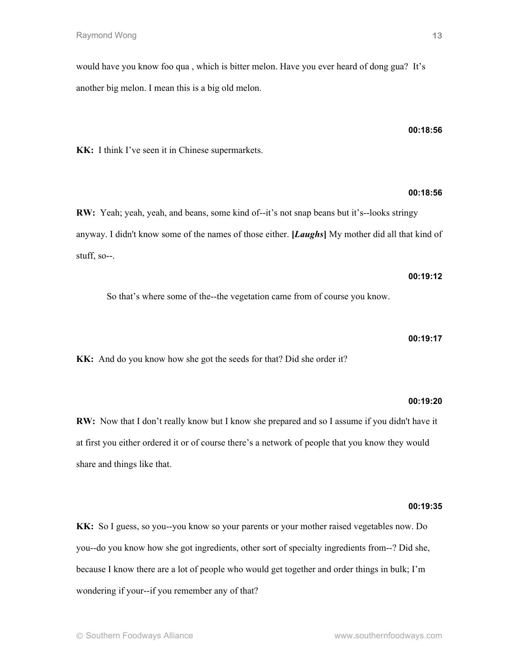would have you know foo qua , which is bitter melon. Have you ever heard of dong gua? It's another big melon. I mean this is a big old melon.

**KK:** I think I've seen it in Chinese supermarkets.

**RW:** Yeah; yeah, yeah, and beans, some kind of--it's not snap beans but it's--looks stringy anyway. I didn't know some of the names of those either. **[***Laughs***]** My mother did all that kind of stuff, so--.

So that's where some of the--the vegetation came from of course you know.

**KK:** And do you know how she got the seeds for that? Did she order it?

**00:19:20**

**RW:** Now that I don't really know but I know she prepared and so I assume if you didn't have it at first you either ordered it or of course there's a network of people that you know they would share and things like that.

#### **00:19:35**

**KK:** So I guess, so you--you know so your parents or your mother raised vegetables now. Do you--do you know how she got ingredients, other sort of specialty ingredients from--? Did she, because I know there are a lot of people who would get together and order things in bulk; I'm wondering if your--if you remember any of that?

## **00:18:56**

# **00:18:56**

**00:19:12**

**00:19:17**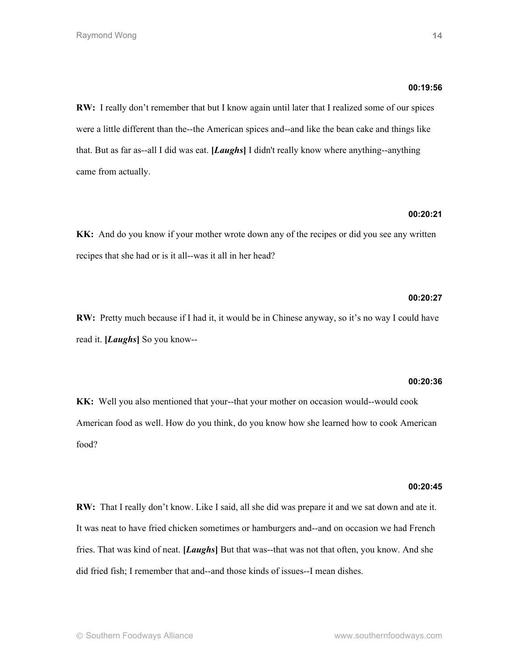## **00:19:56**

**RW:** I really don't remember that but I know again until later that I realized some of our spices were a little different than the--the American spices and--and like the bean cake and things like that. But as far as--all I did was eat. **[***Laughs***]** I didn't really know where anything--anything came from actually.

# **00:20:21**

**KK:** And do you know if your mother wrote down any of the recipes or did you see any written recipes that she had or is it all--was it all in her head?

## **00:20:27**

**RW:** Pretty much because if I had it, it would be in Chinese anyway, so it's no way I could have read it. **[***Laughs***]** So you know--

## **00:20:36**

**KK:** Well you also mentioned that your--that your mother on occasion would--would cook American food as well. How do you think, do you know how she learned how to cook American food?

## **00:20:45**

**RW:** That I really don't know. Like I said, all she did was prepare it and we sat down and ate it. It was neat to have fried chicken sometimes or hamburgers and--and on occasion we had French fries. That was kind of neat. **[***Laughs***]** But that was--that was not that often, you know. And she did fried fish; I remember that and--and those kinds of issues--I mean dishes.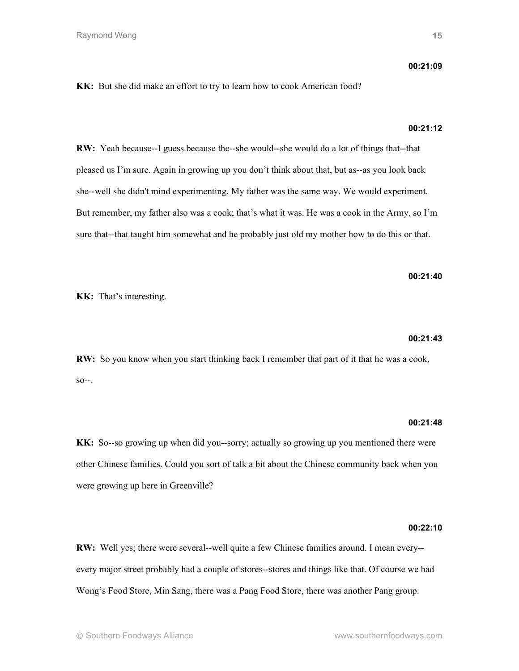**KK:** But she did make an effort to try to learn how to cook American food?

# **00:21:12**

**RW:** Yeah because--I guess because the--she would--she would do a lot of things that--that pleased us I'm sure. Again in growing up you don't think about that, but as--as you look back she--well she didn't mind experimenting. My father was the same way. We would experiment. But remember, my father also was a cook; that's what it was. He was a cook in the Army, so I'm sure that--that taught him somewhat and he probably just old my mother how to do this or that.

# **00:21:40**

**KK:** That's interesting.

## **00:21:43**

**RW:** So you know when you start thinking back I remember that part of it that he was a cook,  $SO--$ .

# **00:21:48**

**KK:** So--so growing up when did you--sorry; actually so growing up you mentioned there were other Chinese families. Could you sort of talk a bit about the Chinese community back when you were growing up here in Greenville?

## **00:22:10**

**RW:** Well yes; there were several--well quite a few Chinese families around. I mean every- every major street probably had a couple of stores--stores and things like that. Of course we had Wong's Food Store, Min Sang, there was a Pang Food Store, there was another Pang group.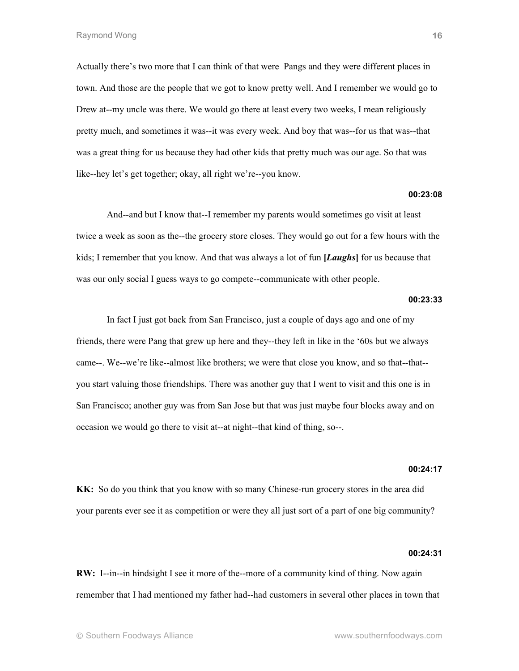Actually there's two more that I can think of that were Pangs and they were different places in town. And those are the people that we got to know pretty well. And I remember we would go to Drew at--my uncle was there. We would go there at least every two weeks, I mean religiously pretty much, and sometimes it was--it was every week. And boy that was--for us that was--that was a great thing for us because they had other kids that pretty much was our age. So that was like--hey let's get together; okay, all right we're--you know.

## **00:23:08**

And--and but I know that--I remember my parents would sometimes go visit at least twice a week as soon as the--the grocery store closes. They would go out for a few hours with the kids; I remember that you know. And that was always a lot of fun **[***Laughs***]** for us because that was our only social I guess ways to go compete--communicate with other people.

## **00:23:33**

In fact I just got back from San Francisco, just a couple of days ago and one of my friends, there were Pang that grew up here and they--they left in like in the '60s but we always came--. We--we're like--almost like brothers; we were that close you know, and so that--that- you start valuing those friendships. There was another guy that I went to visit and this one is in San Francisco; another guy was from San Jose but that was just maybe four blocks away and on occasion we would go there to visit at--at night--that kind of thing, so--.

## **00:24:17**

**KK:** So do you think that you know with so many Chinese-run grocery stores in the area did your parents ever see it as competition or were they all just sort of a part of one big community?

#### **00:24:31**

**RW:** I--in--in hindsight I see it more of the--more of a community kind of thing. Now again remember that I had mentioned my father had--had customers in several other places in town that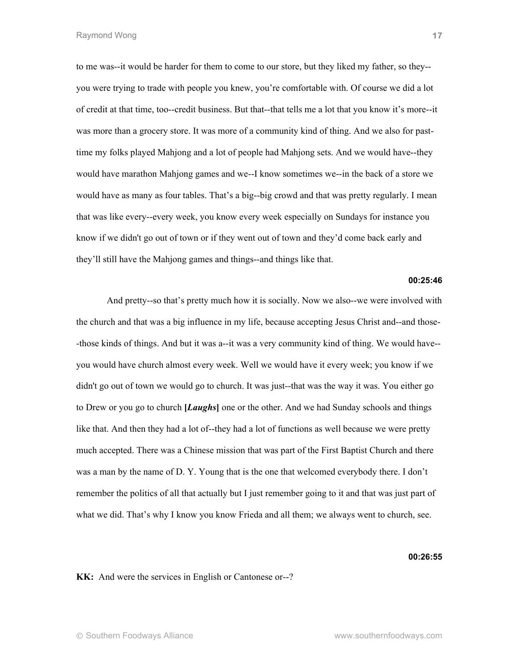to me was--it would be harder for them to come to our store, but they liked my father, so they- you were trying to trade with people you knew, you're comfortable with. Of course we did a lot of credit at that time, too--credit business. But that--that tells me a lot that you know it's more--it was more than a grocery store. It was more of a community kind of thing. And we also for pasttime my folks played Mahjong and a lot of people had Mahjong sets. And we would have--they would have marathon Mahjong games and we--I know sometimes we--in the back of a store we would have as many as four tables. That's a big--big crowd and that was pretty regularly. I mean that was like every--every week, you know every week especially on Sundays for instance you know if we didn't go out of town or if they went out of town and they'd come back early and they'll still have the Mahjong games and things--and things like that.

## **00:25:46**

And pretty--so that's pretty much how it is socially. Now we also--we were involved with the church and that was a big influence in my life, because accepting Jesus Christ and--and those- -those kinds of things. And but it was a--it was a very community kind of thing. We would have- you would have church almost every week. Well we would have it every week; you know if we didn't go out of town we would go to church. It was just--that was the way it was. You either go to Drew or you go to church **[***Laughs***]** one or the other. And we had Sunday schools and things like that. And then they had a lot of--they had a lot of functions as well because we were pretty much accepted. There was a Chinese mission that was part of the First Baptist Church and there was a man by the name of D. Y. Young that is the one that welcomed everybody there. I don't remember the politics of all that actually but I just remember going to it and that was just part of what we did. That's why I know you know Frieda and all them; we always went to church, see.

#### **00:26:55**

**KK:** And were the services in English or Cantonese or--?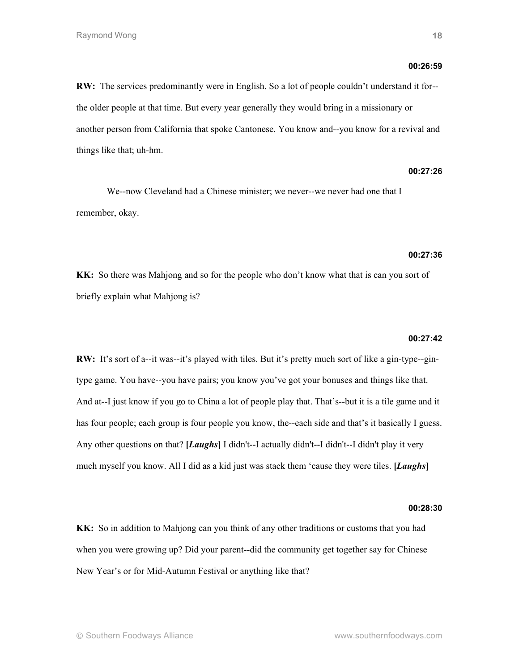## **00:26:59**

**RW:** The services predominantly were in English. So a lot of people couldn't understand it for- the older people at that time. But every year generally they would bring in a missionary or another person from California that spoke Cantonese. You know and--you know for a revival and things like that; uh-hm.

## **00:27:26**

We--now Cleveland had a Chinese minister; we never--we never had one that I remember, okay.

## **00:27:36**

**KK:** So there was Mahjong and so for the people who don't know what that is can you sort of briefly explain what Mahjong is?

## **00:27:42**

**RW:** It's sort of a--it was--it's played with tiles. But it's pretty much sort of like a gin-type--gintype game. You have--you have pairs; you know you've got your bonuses and things like that. And at--I just know if you go to China a lot of people play that. That's--but it is a tile game and it has four people; each group is four people you know, the--each side and that's it basically I guess. Any other questions on that? **[***Laughs***]** I didn't--I actually didn't--I didn't--I didn't play it very much myself you know. All I did as a kid just was stack them 'cause they were tiles. **[***Laughs***]**

## **00:28:30**

**KK:** So in addition to Mahjong can you think of any other traditions or customs that you had when you were growing up? Did your parent--did the community get together say for Chinese New Year's or for Mid-Autumn Festival or anything like that?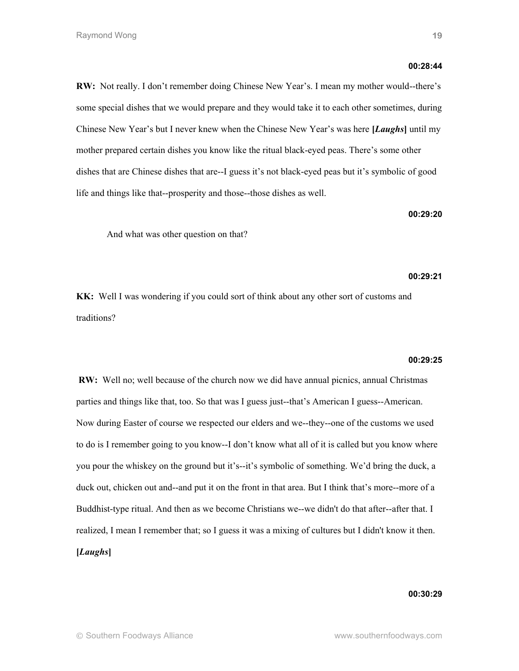# **RW:** Not really. I don't remember doing Chinese New Year's. I mean my mother would--there's some special dishes that we would prepare and they would take it to each other sometimes, during Chinese New Year's but I never knew when the Chinese New Year's was here **[***Laughs***]** until my mother prepared certain dishes you know like the ritual black-eyed peas. There's some other dishes that are Chinese dishes that are--I guess it's not black-eyed peas but it's symbolic of good life and things like that--prosperity and those--those dishes as well.

And what was other question on that?

# **00:29:21**

**00:29:20**

**KK:** Well I was wondering if you could sort of think about any other sort of customs and traditions?

## **00:29:25**

**RW:** Well no; well because of the church now we did have annual picnics, annual Christmas parties and things like that, too. So that was I guess just--that's American I guess--American. Now during Easter of course we respected our elders and we--they--one of the customs we used to do is I remember going to you know--I don't know what all of it is called but you know where you pour the whiskey on the ground but it's--it's symbolic of something. We'd bring the duck, a duck out, chicken out and--and put it on the front in that area. But I think that's more--more of a Buddhist-type ritual. And then as we become Christians we--we didn't do that after--after that. I realized, I mean I remember that; so I guess it was a mixing of cultures but I didn't know it then. **[***Laughs***]**

**00:30:29**

**00:28:44**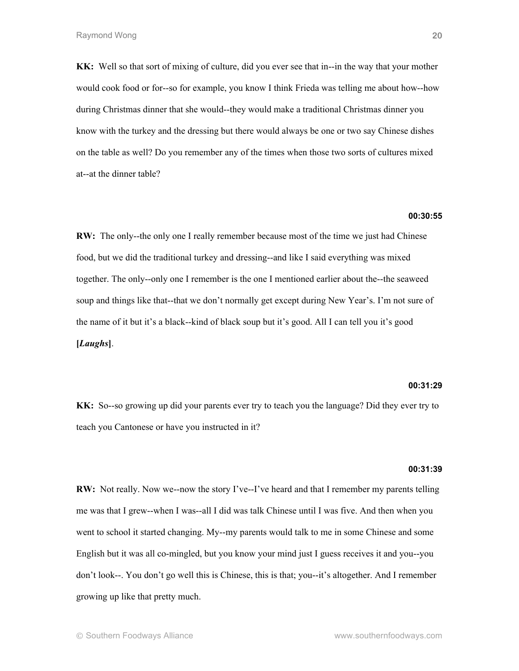**KK:** Well so that sort of mixing of culture, did you ever see that in--in the way that your mother would cook food or for--so for example, you know I think Frieda was telling me about how--how during Christmas dinner that she would--they would make a traditional Christmas dinner you know with the turkey and the dressing but there would always be one or two say Chinese dishes on the table as well? Do you remember any of the times when those two sorts of cultures mixed at--at the dinner table?

## **00:30:55**

**RW:** The only--the only one I really remember because most of the time we just had Chinese food, but we did the traditional turkey and dressing--and like I said everything was mixed together. The only--only one I remember is the one I mentioned earlier about the--the seaweed soup and things like that--that we don't normally get except during New Year's. I'm not sure of the name of it but it's a black--kind of black soup but it's good. All I can tell you it's good **[***Laughs***]**.

## **00:31:29**

**KK:** So--so growing up did your parents ever try to teach you the language? Did they ever try to teach you Cantonese or have you instructed in it?

## **00:31:39**

**RW:** Not really. Now we--now the story I've--I've heard and that I remember my parents telling me was that I grew--when I was--all I did was talk Chinese until I was five. And then when you went to school it started changing. My--my parents would talk to me in some Chinese and some English but it was all co-mingled, but you know your mind just I guess receives it and you--you don't look--. You don't go well this is Chinese, this is that; you--it's altogether. And I remember growing up like that pretty much.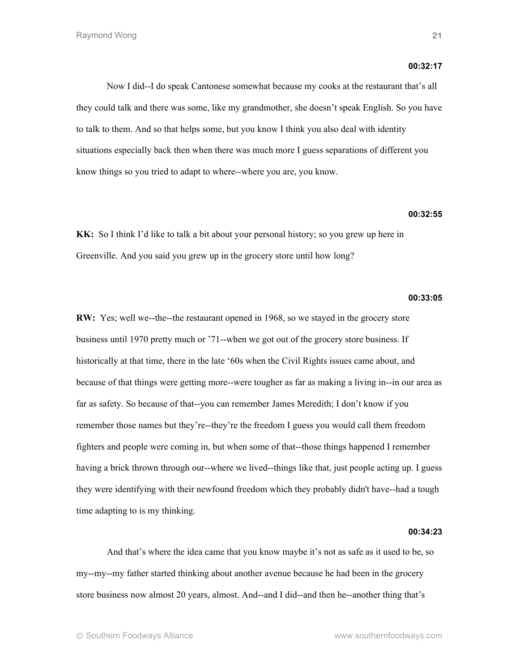## **00:32:17**

Now I did--I do speak Cantonese somewhat because my cooks at the restaurant that's all they could talk and there was some, like my grandmother, she doesn't speak English. So you have to talk to them. And so that helps some, but you know I think you also deal with identity situations especially back then when there was much more I guess separations of different you know things so you tried to adapt to where--where you are, you know.

# **00:32:55**

**KK:** So I think I'd like to talk a bit about your personal history; so you grew up here in Greenville. And you said you grew up in the grocery store until how long?

## **00:33:05**

**RW:** Yes; well we--the--the restaurant opened in 1968, so we stayed in the grocery store business until 1970 pretty much or '71--when we got out of the grocery store business. If historically at that time, there in the late '60s when the Civil Rights issues came about, and because of that things were getting more--were tougher as far as making a living in--in our area as far as safety. So because of that--you can remember James Meredith; I don't know if you remember those names but they're--they're the freedom I guess you would call them freedom fighters and people were coming in, but when some of that--those things happened I remember having a brick thrown through our--where we lived--things like that, just people acting up. I guess they were identifying with their newfound freedom which they probably didn't have--had a tough time adapting to is my thinking.

## **00:34:23**

And that's where the idea came that you know maybe it's not as safe as it used to be, so my--my--my father started thinking about another avenue because he had been in the grocery store business now almost 20 years, almost. And--and I did--and then he--another thing that's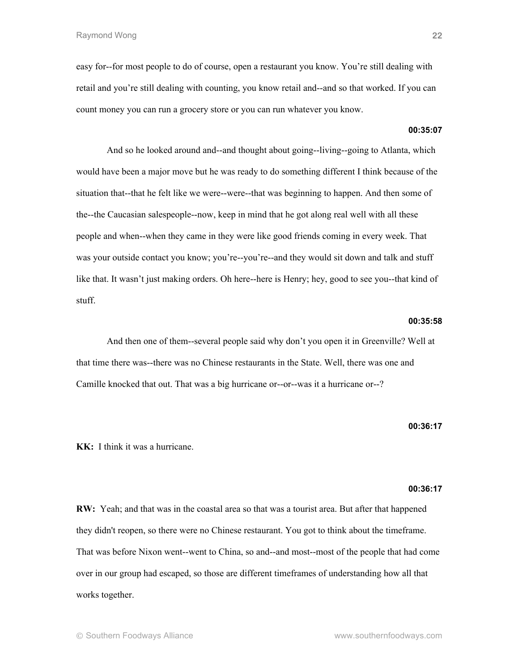easy for--for most people to do of course, open a restaurant you know. You're still dealing with retail and you're still dealing with counting, you know retail and--and so that worked. If you can count money you can run a grocery store or you can run whatever you know.

# **00:35:07**

And so he looked around and--and thought about going--living--going to Atlanta, which would have been a major move but he was ready to do something different I think because of the situation that--that he felt like we were--were--that was beginning to happen. And then some of the--the Caucasian salespeople--now, keep in mind that he got along real well with all these people and when--when they came in they were like good friends coming in every week. That was your outside contact you know; you're--you're--and they would sit down and talk and stuff like that. It wasn't just making orders. Oh here--here is Henry; hey, good to see you--that kind of stuff.

# **00:35:58**

And then one of them--several people said why don't you open it in Greenville? Well at that time there was--there was no Chinese restaurants in the State. Well, there was one and Camille knocked that out. That was a big hurricane or--or--was it a hurricane or--?

**00:36:17**

**KK:** I think it was a hurricane.

## **00:36:17**

**RW:** Yeah; and that was in the coastal area so that was a tourist area. But after that happened they didn't reopen, so there were no Chinese restaurant. You got to think about the timeframe. That was before Nixon went--went to China, so and--and most--most of the people that had come over in our group had escaped, so those are different timeframes of understanding how all that works together.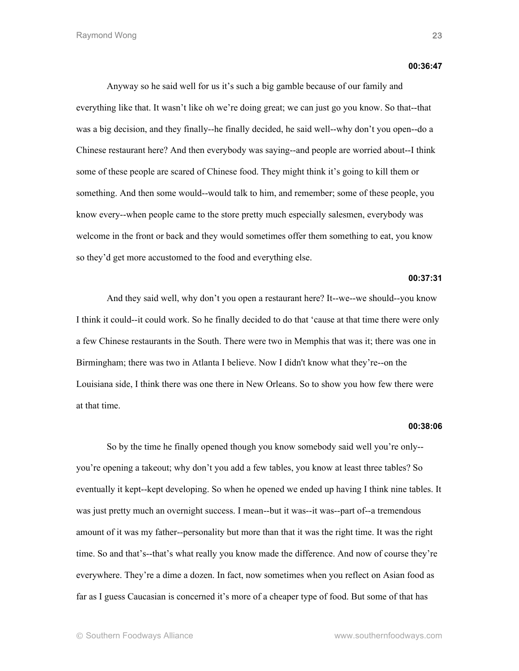#### **00:36:47**

Anyway so he said well for us it's such a big gamble because of our family and everything like that. It wasn't like oh we're doing great; we can just go you know. So that--that was a big decision, and they finally--he finally decided, he said well--why don't you open--do a Chinese restaurant here? And then everybody was saying--and people are worried about--I think some of these people are scared of Chinese food. They might think it's going to kill them or something. And then some would--would talk to him, and remember; some of these people, you know every--when people came to the store pretty much especially salesmen, everybody was welcome in the front or back and they would sometimes offer them something to eat, you know so they'd get more accustomed to the food and everything else.

## **00:37:31**

And they said well, why don't you open a restaurant here? It--we--we should--you know I think it could--it could work. So he finally decided to do that 'cause at that time there were only a few Chinese restaurants in the South. There were two in Memphis that was it; there was one in Birmingham; there was two in Atlanta I believe. Now I didn't know what they're--on the Louisiana side, I think there was one there in New Orleans. So to show you how few there were at that time.

## **00:38:06**

So by the time he finally opened though you know somebody said well you're only- you're opening a takeout; why don't you add a few tables, you know at least three tables? So eventually it kept--kept developing. So when he opened we ended up having I think nine tables. It was just pretty much an overnight success. I mean--but it was--it was--part of--a tremendous amount of it was my father--personality but more than that it was the right time. It was the right time. So and that's--that's what really you know made the difference. And now of course they're everywhere. They're a dime a dozen. In fact, now sometimes when you reflect on Asian food as far as I guess Caucasian is concerned it's more of a cheaper type of food. But some of that has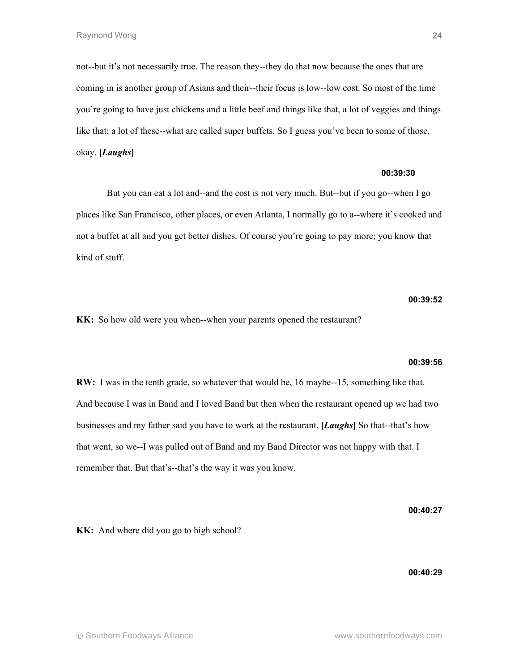not--but it's not necessarily true. The reason they--they do that now because the ones that are coming in is another group of Asians and their--their focus is low--low cost. So most of the time you're going to have just chickens and a little beef and things like that, a lot of veggies and things like that; a lot of these--what are called super buffets. So I guess you've been to some of those, okay. **[***Laughs***]**

## **00:39:30**

But you can eat a lot and--and the cost is not very much. But--but if you go--when I go places like San Francisco, other places, or even Atlanta, I normally go to a--where it's cooked and not a buffet at all and you get better dishes. Of course you're going to pay more; you know that kind of stuff.

## **00:39:52**

**24**

**KK:** So how old were you when--when your parents opened the restaurant?

#### **00:39:56**

**RW:** I was in the tenth grade, so whatever that would be, 16 maybe--15, something like that. And because I was in Band and I loved Band but then when the restaurant opened up we had two businesses and my father said you have to work at the restaurant. **[***Laughs***]** So that--that's how that went, so we--I was pulled out of Band and my Band Director was not happy with that. I remember that. But that's--that's the way it was you know.

**00:40:27**

**KK:** And where did you go to high school?

**00:40:29**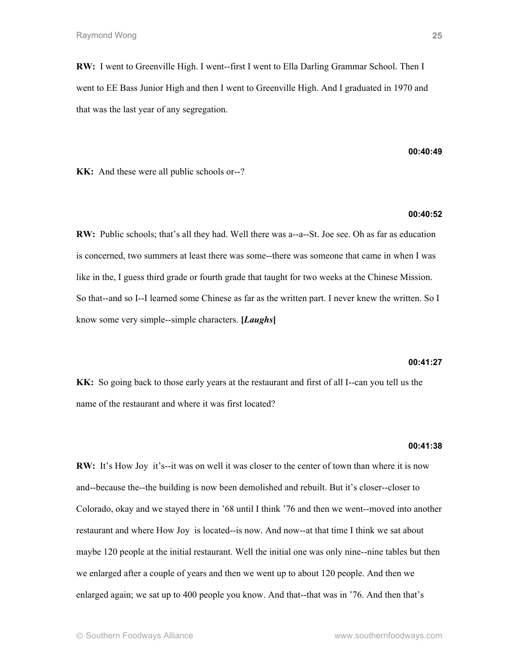**RW:** I went to Greenville High. I went--first I went to Ella Darling Grammar School. Then I went to EE Bass Junior High and then I went to Greenville High. And I graduated in 1970 and that was the last year of any segregation.

**00:40:49**

**KK:** And these were all public schools or--?

# **00:40:52**

**RW:** Public schools; that's all they had. Well there was a--a--St. Joe see. Oh as far as education is concerned, two summers at least there was some--there was someone that came in when I was like in the, I guess third grade or fourth grade that taught for two weeks at the Chinese Mission. So that--and so I--I learned some Chinese as far as the written part. I never knew the written. So I know some very simple--simple characters. **[***Laughs***]**

## **00:41:27**

**KK:** So going back to those early years at the restaurant and first of all I--can you tell us the name of the restaurant and where it was first located?

## **00:41:38**

**RW:** It's How Joy it's--it was on well it was closer to the center of town than where it is now and--because the--the building is now been demolished and rebuilt. But it's closer--closer to Colorado, okay and we stayed there in '68 until I think '76 and then we went--moved into another restaurant and where How Joy is located--is now. And now--at that time I think we sat about maybe 120 people at the initial restaurant. Well the initial one was only nine--nine tables but then we enlarged after a couple of years and then we went up to about 120 people. And then we enlarged again; we sat up to 400 people you know. And that--that was in '76. And then that's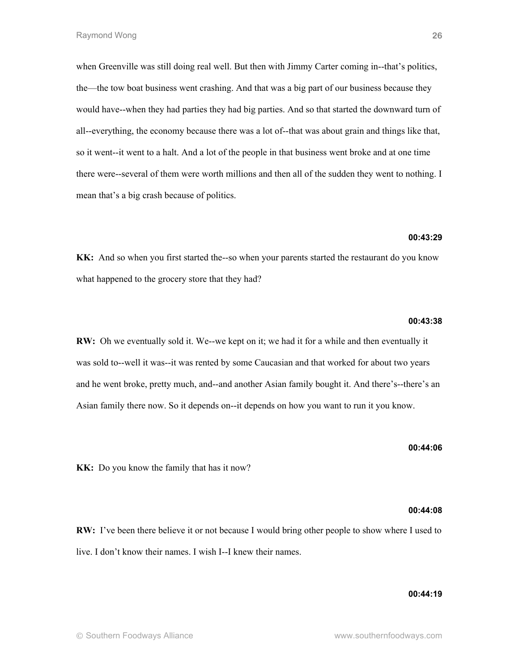when Greenville was still doing real well. But then with Jimmy Carter coming in--that's politics, the—the tow boat business went crashing. And that was a big part of our business because they would have--when they had parties they had big parties. And so that started the downward turn of all--everything, the economy because there was a lot of--that was about grain and things like that, so it went--it went to a halt. And a lot of the people in that business went broke and at one time there were--several of them were worth millions and then all of the sudden they went to nothing. I mean that's a big crash because of politics.

## **00:43:29**

**KK:** And so when you first started the--so when your parents started the restaurant do you know what happened to the grocery store that they had?

## **00:43:38**

**RW:** Oh we eventually sold it. We--we kept on it; we had it for a while and then eventually it was sold to--well it was--it was rented by some Caucasian and that worked for about two years and he went broke, pretty much, and--and another Asian family bought it. And there's--there's an Asian family there now. So it depends on--it depends on how you want to run it you know.

**KK:** Do you know the family that has it now?

#### **00:44:08**

**00:44:06**

**RW:** I've been there believe it or not because I would bring other people to show where I used to live. I don't know their names. I wish I--I knew their names.

## **00:44:19**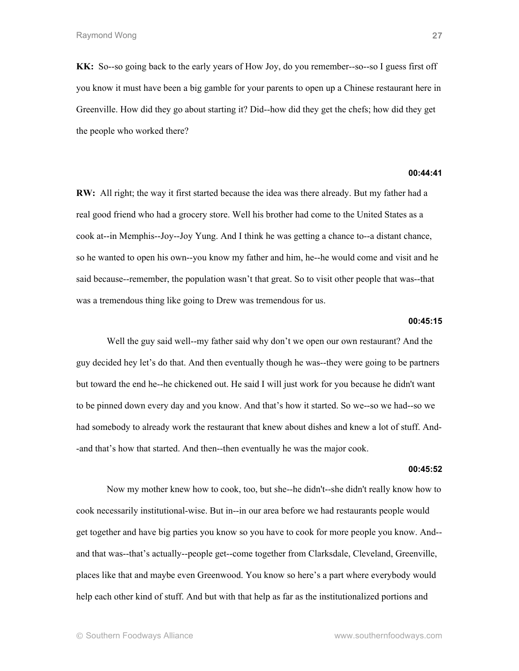**KK:** So--so going back to the early years of How Joy, do you remember--so--so I guess first off you know it must have been a big gamble for your parents to open up a Chinese restaurant here in Greenville. How did they go about starting it? Did--how did they get the chefs; how did they get the people who worked there?

## **00:44:41**

**RW:** All right; the way it first started because the idea was there already. But my father had a real good friend who had a grocery store. Well his brother had come to the United States as a cook at--in Memphis--Joy--Joy Yung. And I think he was getting a chance to--a distant chance, so he wanted to open his own--you know my father and him, he--he would come and visit and he said because--remember, the population wasn't that great. So to visit other people that was--that was a tremendous thing like going to Drew was tremendous for us.

# **00:45:15**

Well the guy said well--my father said why don't we open our own restaurant? And the guy decided hey let's do that. And then eventually though he was--they were going to be partners but toward the end he--he chickened out. He said I will just work for you because he didn't want to be pinned down every day and you know. And that's how it started. So we--so we had--so we had somebody to already work the restaurant that knew about dishes and knew a lot of stuff. And- -and that's how that started. And then--then eventually he was the major cook.

#### **00:45:52**

Now my mother knew how to cook, too, but she--he didn't--she didn't really know how to cook necessarily institutional-wise. But in--in our area before we had restaurants people would get together and have big parties you know so you have to cook for more people you know. And- and that was--that's actually--people get--come together from Clarksdale, Cleveland, Greenville, places like that and maybe even Greenwood. You know so here's a part where everybody would help each other kind of stuff. And but with that help as far as the institutionalized portions and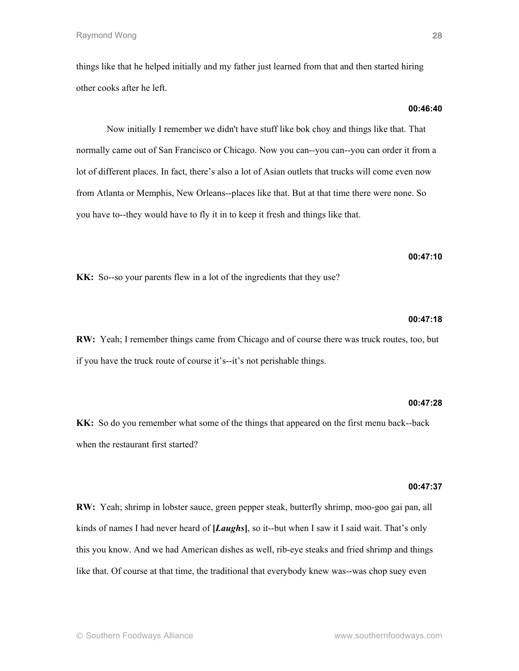things like that he helped initially and my father just learned from that and then started hiring other cooks after he left.

# Now initially I remember we didn't have stuff like bok choy and things like that. That normally came out of San Francisco or Chicago. Now you can--you can--you can order it from a lot of different places. In fact, there's also a lot of Asian outlets that trucks will come even now from Atlanta or Memphis, New Orleans--places like that. But at that time there were none. So you have to--they would have to fly it in to keep it fresh and things like that.

**KK:** So--so your parents flew in a lot of the ingredients that they use?

## **00:47:18**

**00:47:10**

**RW:** Yeah; I remember things came from Chicago and of course there was truck routes, too, but if you have the truck route of course it's--it's not perishable things.

## **00:47:28**

**KK:** So do you remember what some of the things that appeared on the first menu back--back when the restaurant first started?

## **00:47:37**

**RW:** Yeah; shrimp in lobster sauce, green pepper steak, butterfly shrimp, moo-goo gai pan, all kinds of names I had never heard of **[***Laughs***]**, so it--but when I saw it I said wait. That's only this you know. And we had American dishes as well, rib-eye steaks and fried shrimp and things like that. Of course at that time, the traditional that everybody knew was--was chop suey even

**00:46:40**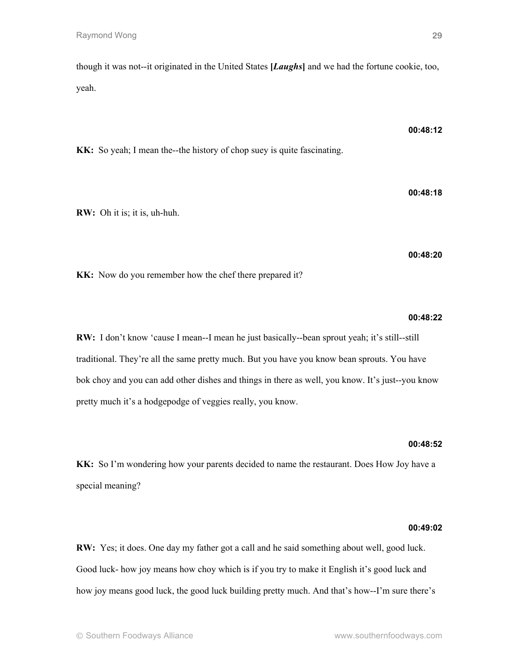though it was not--it originated in the United States **[***Laughs***]** and we had the fortune cookie, too, yeah.

**00:48:12**

**KK:** So yeah; I mean the--the history of chop suey is quite fascinating.

**RW:** Oh it is; it is, uh-huh.

**00:48:20**

**00:48:18**

**KK:** Now do you remember how the chef there prepared it?

## **00:48:22**

**RW:** I don't know 'cause I mean--I mean he just basically--bean sprout yeah; it's still--still traditional. They're all the same pretty much. But you have you know bean sprouts. You have bok choy and you can add other dishes and things in there as well, you know. It's just--you know pretty much it's a hodgepodge of veggies really, you know.

# **00:48:52**

**KK:** So I'm wondering how your parents decided to name the restaurant. Does How Joy have a special meaning?

## **00:49:02**

**RW:** Yes; it does. One day my father got a call and he said something about well, good luck. Good luck- how joy means how choy which is if you try to make it English it's good luck and how joy means good luck, the good luck building pretty much. And that's how--I'm sure there's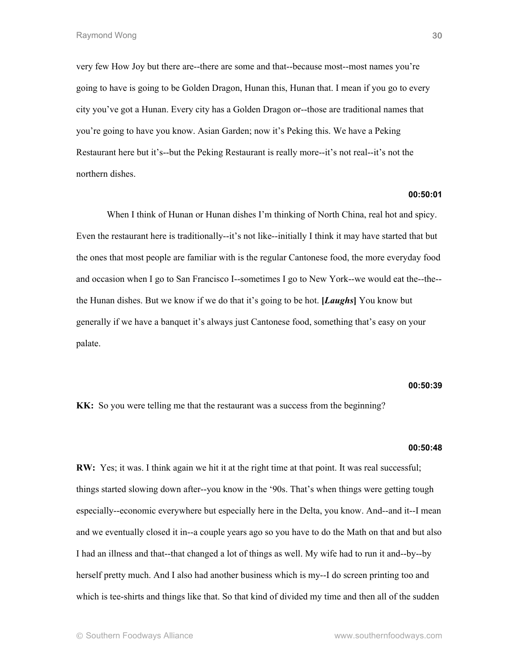very few How Joy but there are--there are some and that--because most--most names you're going to have is going to be Golden Dragon, Hunan this, Hunan that. I mean if you go to every city you've got a Hunan. Every city has a Golden Dragon or--those are traditional names that you're going to have you know. Asian Garden; now it's Peking this. We have a Peking Restaurant here but it's--but the Peking Restaurant is really more--it's not real--it's not the northern dishes.

## **00:50:01**

When I think of Hunan or Hunan dishes I'm thinking of North China, real hot and spicy. Even the restaurant here is traditionally--it's not like--initially I think it may have started that but the ones that most people are familiar with is the regular Cantonese food, the more everyday food and occasion when I go to San Francisco I--sometimes I go to New York--we would eat the--the- the Hunan dishes. But we know if we do that it's going to be hot. **[***Laughs***]** You know but generally if we have a banquet it's always just Cantonese food, something that's easy on your palate.

#### **00:50:39**

**KK:** So you were telling me that the restaurant was a success from the beginning?

## **00:50:48**

**RW:** Yes; it was. I think again we hit it at the right time at that point. It was real successful; things started slowing down after--you know in the '90s. That's when things were getting tough especially--economic everywhere but especially here in the Delta, you know. And--and it--I mean and we eventually closed it in--a couple years ago so you have to do the Math on that and but also I had an illness and that--that changed a lot of things as well. My wife had to run it and--by--by herself pretty much. And I also had another business which is my--I do screen printing too and which is tee-shirts and things like that. So that kind of divided my time and then all of the sudden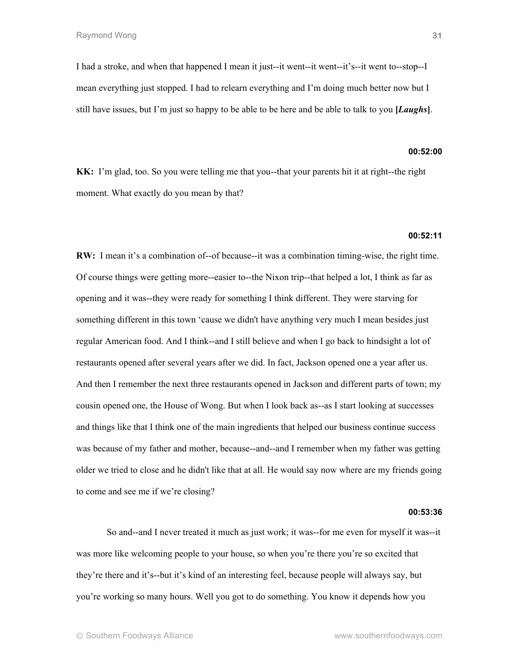I had a stroke, and when that happened I mean it just--it went--it went--it's--it went to--stop--I mean everything just stopped. I had to relearn everything and I'm doing much better now but I still have issues, but I'm just so happy to be able to be here and be able to talk to you **[***Laughs***]**.

#### **00:52:00**

**KK:** I'm glad, too. So you were telling me that you--that your parents hit it at right--the right moment. What exactly do you mean by that?

## **00:52:11**

**RW:** I mean it's a combination of--of because--it was a combination timing-wise, the right time. Of course things were getting more--easier to--the Nixon trip--that helped a lot, I think as far as opening and it was--they were ready for something I think different. They were starving for something different in this town 'cause we didn't have anything very much I mean besides just regular American food. And I think--and I still believe and when I go back to hindsight a lot of restaurants opened after several years after we did. In fact, Jackson opened one a year after us. And then I remember the next three restaurants opened in Jackson and different parts of town; my cousin opened one, the House of Wong. But when I look back as--as I start looking at successes and things like that I think one of the main ingredients that helped our business continue success was because of my father and mother, because--and--and I remember when my father was getting older we tried to close and he didn't like that at all. He would say now where are my friends going to come and see me if we're closing?

#### **00:53:36**

So and--and I never treated it much as just work; it was--for me even for myself it was--it was more like welcoming people to your house, so when you're there you're so excited that they're there and it's--but it's kind of an interesting feel, because people will always say, but you're working so many hours. Well you got to do something. You know it depends how you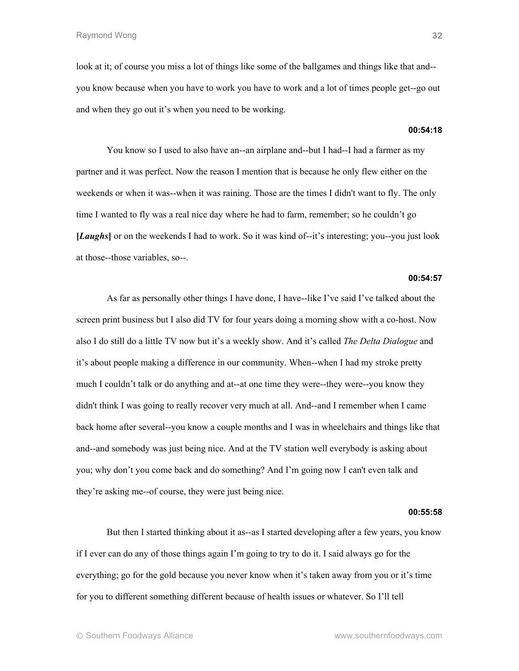look at it; of course you miss a lot of things like some of the ballgames and things like that and- you know because when you have to work you have to work and a lot of times people get--go out and when they go out it's when you need to be working.

**00:54:18**

You know so I used to also have an--an airplane and--but I had--I had a farmer as my partner and it was perfect. Now the reason I mention that is because he only flew either on the weekends or when it was--when it was raining. Those are the times I didn't want to fly. The only time I wanted to fly was a real nice day where he had to farm, remember; so he couldn't go **[***Laughs***]** or on the weekends I had to work. So it was kind of--it's interesting; you--you just look at those--those variables, so--.

## **00:54:57**

As far as personally other things I have done, I have--like I've said I've talked about the screen print business but I also did TV for four years doing a morning show with a co-host. Now also I do still do a little TV now but it's a weekly show. And it's called *The Delta Dialogue* and it's about people making a difference in our community. When--when I had my stroke pretty much I couldn't talk or do anything and at--at one time they were--they were--you know they didn't think I was going to really recover very much at all. And--and I remember when I came back home after several--you know a couple months and I was in wheelchairs and things like that and--and somebody was just being nice. And at the TV station well everybody is asking about you; why don't you come back and do something? And I'm going now I can't even talk and they're asking me--of course, they were just being nice.

#### **00:55:58**

But then I started thinking about it as--as I started developing after a few years, you know if I ever can do any of those things again I'm going to try to do it. I said always go for the everything; go for the gold because you never know when it's taken away from you or it's time for you to different something different because of health issues or whatever. So I'll tell

**32**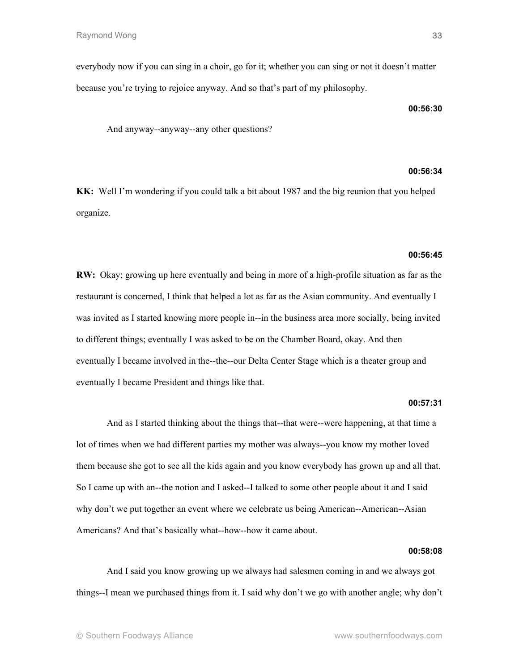everybody now if you can sing in a choir, go for it; whether you can sing or not it doesn't matter because you're trying to rejoice anyway. And so that's part of my philosophy.

**00:56:30**

And anyway--anyway--any other questions?

## **00:56:34**

**KK:** Well I'm wondering if you could talk a bit about 1987 and the big reunion that you helped organize.

## **00:56:45**

**RW:** Okay; growing up here eventually and being in more of a high-profile situation as far as the restaurant is concerned, I think that helped a lot as far as the Asian community. And eventually I was invited as I started knowing more people in--in the business area more socially, being invited to different things; eventually I was asked to be on the Chamber Board, okay. And then eventually I became involved in the--the--our Delta Center Stage which is a theater group and eventually I became President and things like that.

## **00:57:31**

And as I started thinking about the things that--that were--were happening, at that time a lot of times when we had different parties my mother was always--you know my mother loved them because she got to see all the kids again and you know everybody has grown up and all that. So I came up with an--the notion and I asked--I talked to some other people about it and I said why don't we put together an event where we celebrate us being American--American--Asian Americans? And that's basically what--how--how it came about.

# **00:58:08**

And I said you know growing up we always had salesmen coming in and we always got things--I mean we purchased things from it. I said why don't we go with another angle; why don't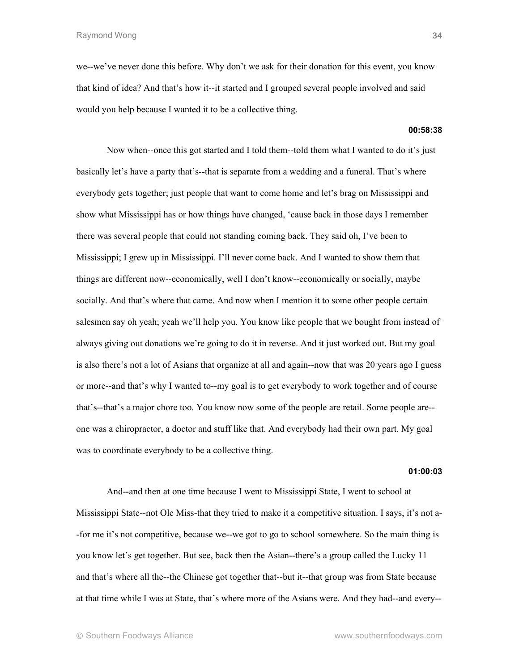we--we've never done this before. Why don't we ask for their donation for this event, you know that kind of idea? And that's how it--it started and I grouped several people involved and said would you help because I wanted it to be a collective thing.

# **00:58:38**

Now when--once this got started and I told them--told them what I wanted to do it's just basically let's have a party that's--that is separate from a wedding and a funeral. That's where everybody gets together; just people that want to come home and let's brag on Mississippi and show what Mississippi has or how things have changed, 'cause back in those days I remember there was several people that could not standing coming back. They said oh, I've been to Mississippi; I grew up in Mississippi. I'll never come back. And I wanted to show them that things are different now--economically, well I don't know--economically or socially, maybe socially. And that's where that came. And now when I mention it to some other people certain salesmen say oh yeah; yeah we'll help you. You know like people that we bought from instead of always giving out donations we're going to do it in reverse. And it just worked out. But my goal is also there's not a lot of Asians that organize at all and again--now that was 20 years ago I guess or more--and that's why I wanted to--my goal is to get everybody to work together and of course that's--that's a major chore too. You know now some of the people are retail. Some people are- one was a chiropractor, a doctor and stuff like that. And everybody had their own part. My goal was to coordinate everybody to be a collective thing.

## **01:00:03**

And--and then at one time because I went to Mississippi State, I went to school at Mississippi State--not Ole Miss-that they tried to make it a competitive situation. I says, it's not a- -for me it's not competitive, because we--we got to go to school somewhere. So the main thing is you know let's get together. But see, back then the Asian--there's a group called the Lucky 11 and that's where all the--the Chinese got together that--but it--that group was from State because at that time while I was at State, that's where more of the Asians were. And they had--and every--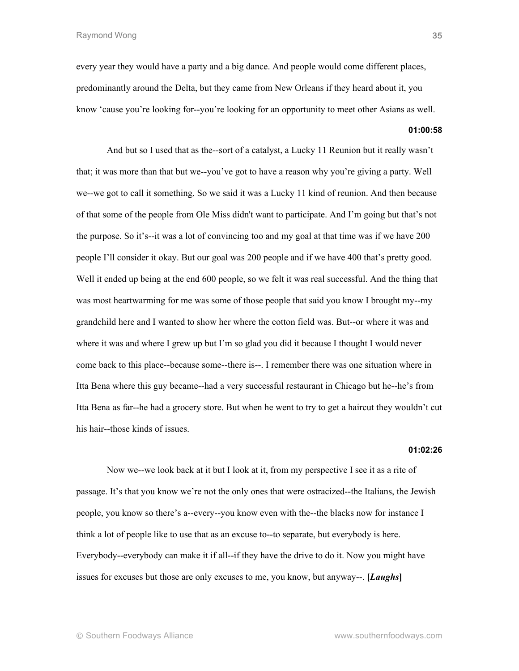every year they would have a party and a big dance. And people would come different places, predominantly around the Delta, but they came from New Orleans if they heard about it, you know 'cause you're looking for--you're looking for an opportunity to meet other Asians as well.

# **01:00:58**

And but so I used that as the--sort of a catalyst, a Lucky 11 Reunion but it really wasn't that; it was more than that but we--you've got to have a reason why you're giving a party. Well we--we got to call it something. So we said it was a Lucky 11 kind of reunion. And then because of that some of the people from Ole Miss didn't want to participate. And I'm going but that's not the purpose. So it's--it was a lot of convincing too and my goal at that time was if we have 200 people I'll consider it okay. But our goal was 200 people and if we have 400 that's pretty good. Well it ended up being at the end 600 people, so we felt it was real successful. And the thing that was most heartwarming for me was some of those people that said you know I brought my--my grandchild here and I wanted to show her where the cotton field was. But--or where it was and where it was and where I grew up but I'm so glad you did it because I thought I would never come back to this place--because some--there is--. I remember there was one situation where in Itta Bena where this guy became--had a very successful restaurant in Chicago but he--he's from Itta Bena as far--he had a grocery store. But when he went to try to get a haircut they wouldn't cut his hair--those kinds of issues.

#### **01:02:26**

Now we--we look back at it but I look at it, from my perspective I see it as a rite of passage. It's that you know we're not the only ones that were ostracized--the Italians, the Jewish people, you know so there's a--every--you know even with the--the blacks now for instance I think a lot of people like to use that as an excuse to--to separate, but everybody is here. Everybody--everybody can make it if all--if they have the drive to do it. Now you might have issues for excuses but those are only excuses to me, you know, but anyway--. **[***Laughs***]**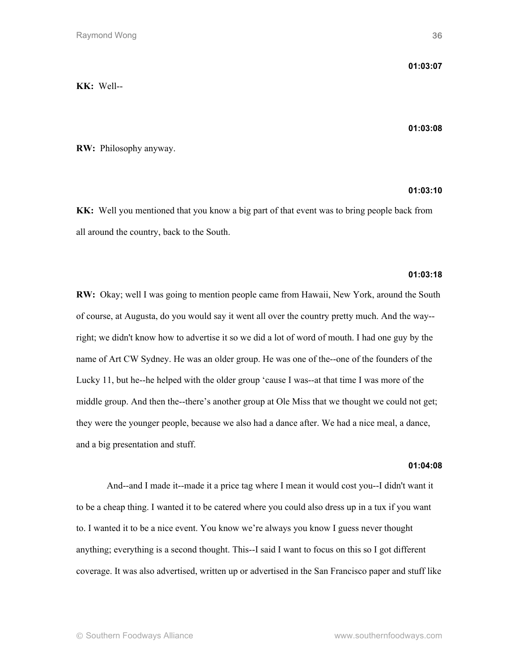**KK:** Well--

## **01:03:08**

**RW:** Philosophy anyway.

# **01:03:10**

**KK:** Well you mentioned that you know a big part of that event was to bring people back from all around the country, back to the South.

# **01:03:18**

**RW:** Okay; well I was going to mention people came from Hawaii, New York, around the South of course, at Augusta, do you would say it went all over the country pretty much. And the way- right; we didn't know how to advertise it so we did a lot of word of mouth. I had one guy by the name of Art CW Sydney. He was an older group. He was one of the--one of the founders of the Lucky 11, but he--he helped with the older group 'cause I was--at that time I was more of the middle group. And then the--there's another group at Ole Miss that we thought we could not get; they were the younger people, because we also had a dance after. We had a nice meal, a dance, and a big presentation and stuff.

# **01:04:08**

And--and I made it--made it a price tag where I mean it would cost you--I didn't want it to be a cheap thing. I wanted it to be catered where you could also dress up in a tux if you want to. I wanted it to be a nice event. You know we're always you know I guess never thought anything; everything is a second thought. This--I said I want to focus on this so I got different coverage. It was also advertised, written up or advertised in the San Francisco paper and stuff like

**01:03:07**

**36**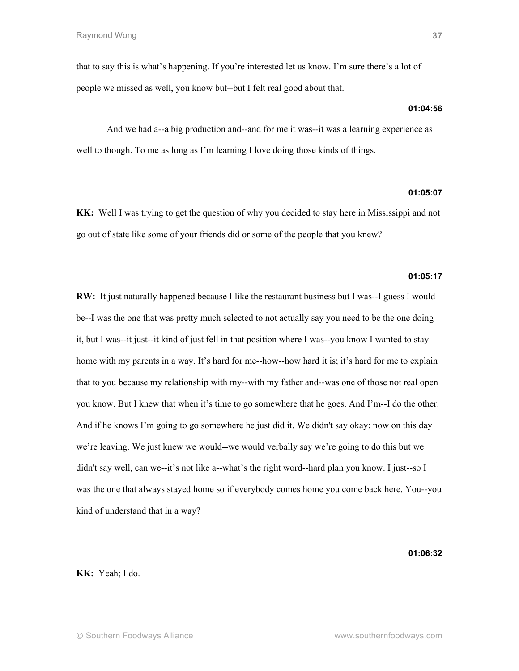that to say this is what's happening. If you're interested let us know. I'm sure there's a lot of people we missed as well, you know but--but I felt real good about that.

## **01:04:56**

And we had a--a big production and--and for me it was--it was a learning experience as well to though. To me as long as I'm learning I love doing those kinds of things.

# **01:05:07**

**KK:** Well I was trying to get the question of why you decided to stay here in Mississippi and not go out of state like some of your friends did or some of the people that you knew?

# **01:05:17**

**RW:** It just naturally happened because I like the restaurant business but I was--I guess I would be--I was the one that was pretty much selected to not actually say you need to be the one doing it, but I was--it just--it kind of just fell in that position where I was--you know I wanted to stay home with my parents in a way. It's hard for me--how--how hard it is; it's hard for me to explain that to you because my relationship with my--with my father and--was one of those not real open you know. But I knew that when it's time to go somewhere that he goes. And I'm--I do the other. And if he knows I'm going to go somewhere he just did it. We didn't say okay; now on this day we're leaving. We just knew we would--we would verbally say we're going to do this but we didn't say well, can we--it's not like a--what's the right word--hard plan you know. I just--so I was the one that always stayed home so if everybody comes home you come back here. You--you kind of understand that in a way?

## **01:06:32**

**KK:** Yeah; I do.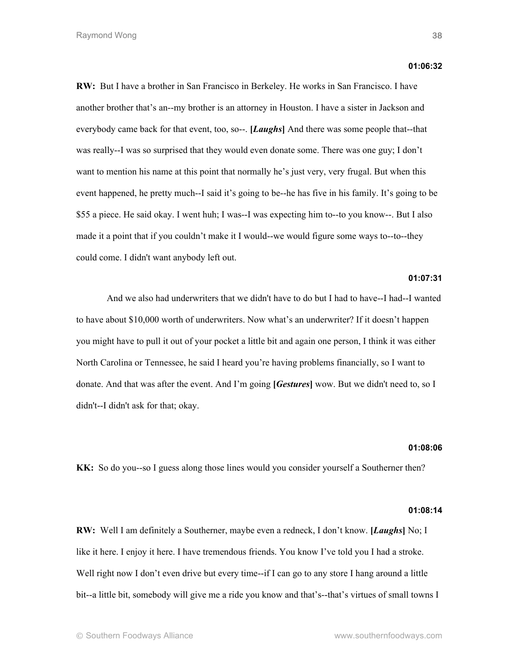**RW:** But I have a brother in San Francisco in Berkeley. He works in San Francisco. I have another brother that's an--my brother is an attorney in Houston. I have a sister in Jackson and everybody came back for that event, too, so--. **[***Laughs***]** And there was some people that--that was really--I was so surprised that they would even donate some. There was one guy; I don't want to mention his name at this point that normally he's just very, very frugal. But when this event happened, he pretty much--I said it's going to be--he has five in his family. It's going to be \$55 a piece. He said okay. I went huh; I was--I was expecting him to--to you know--. But I also made it a point that if you couldn't make it I would--we would figure some ways to--to--they could come. I didn't want anybody left out.

## **01:07:31**

And we also had underwriters that we didn't have to do but I had to have--I had--I wanted to have about \$10,000 worth of underwriters. Now what's an underwriter? If it doesn't happen you might have to pull it out of your pocket a little bit and again one person, I think it was either North Carolina or Tennessee, he said I heard you're having problems financially, so I want to donate. And that was after the event. And I'm going **[***Gestures***]** wow. But we didn't need to, so I didn't--I didn't ask for that; okay.

## **01:08:06**

**KK:** So do you--so I guess along those lines would you consider yourself a Southerner then?

#### **01:08:14**

**RW:** Well I am definitely a Southerner, maybe even a redneck, I don't know. **[***Laughs***]** No; I like it here. I enjoy it here. I have tremendous friends. You know I've told you I had a stroke. Well right now I don't even drive but every time--if I can go to any store I hang around a little bit--a little bit, somebody will give me a ride you know and that's--that's virtues of small towns I

**01:06:32**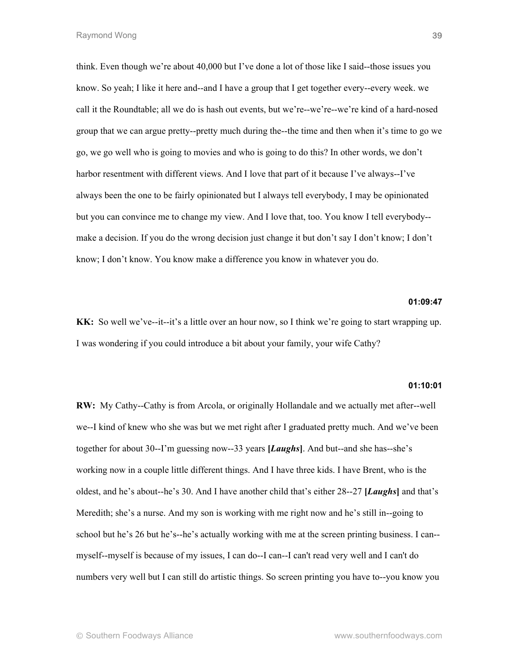think. Even though we're about 40,000 but I've done a lot of those like I said--those issues you know. So yeah; I like it here and--and I have a group that I get together every--every week. we call it the Roundtable; all we do is hash out events, but we're--we're--we're kind of a hard-nosed group that we can argue pretty--pretty much during the--the time and then when it's time to go we go, we go well who is going to movies and who is going to do this? In other words, we don't harbor resentment with different views. And I love that part of it because I've always--I've always been the one to be fairly opinionated but I always tell everybody, I may be opinionated but you can convince me to change my view. And I love that, too. You know I tell everybody- make a decision. If you do the wrong decision just change it but don't say I don't know; I don't know; I don't know. You know make a difference you know in whatever you do.

## **01:09:47**

**KK:** So well we've--it--it's a little over an hour now, so I think we're going to start wrapping up. I was wondering if you could introduce a bit about your family, your wife Cathy?

## **01:10:01**

**RW:** My Cathy--Cathy is from Arcola, or originally Hollandale and we actually met after--well we--I kind of knew who she was but we met right after I graduated pretty much. And we've been together for about 30--I'm guessing now--33 years **[***Laughs***]**. And but--and she has--she's working now in a couple little different things. And I have three kids. I have Brent, who is the oldest, and he's about--he's 30. And I have another child that's either 28--27 **[***Laughs***]** and that's Meredith; she's a nurse. And my son is working with me right now and he's still in--going to school but he's 26 but he's--he's actually working with me at the screen printing business. I can- myself--myself is because of my issues, I can do--I can--I can't read very well and I can't do numbers very well but I can still do artistic things. So screen printing you have to--you know you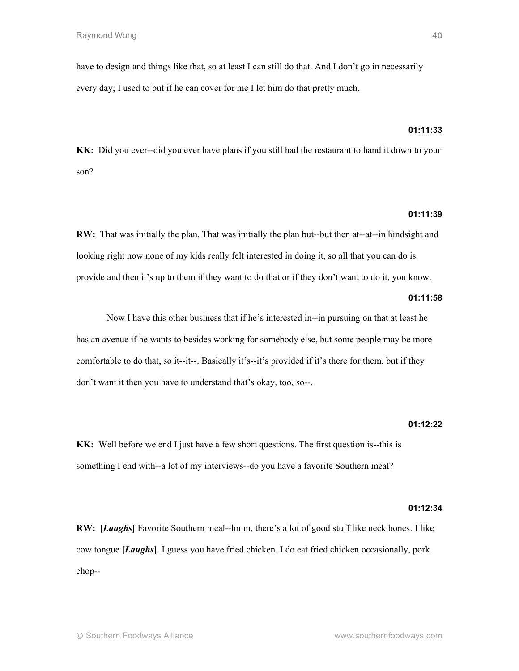have to design and things like that, so at least I can still do that. And I don't go in necessarily every day; I used to but if he can cover for me I let him do that pretty much.

# **01:11:33**

**KK:** Did you ever--did you ever have plans if you still had the restaurant to hand it down to your son?

# **01:11:39**

**RW:** That was initially the plan. That was initially the plan but--but then at--at--in hindsight and looking right now none of my kids really felt interested in doing it, so all that you can do is provide and then it's up to them if they want to do that or if they don't want to do it, you know.

## **01:11:58**

Now I have this other business that if he's interested in--in pursuing on that at least he has an avenue if he wants to besides working for somebody else, but some people may be more comfortable to do that, so it--it--. Basically it's--it's provided if it's there for them, but if they don't want it then you have to understand that's okay, too, so--.

## **01:12:22**

**KK:** Well before we end I just have a few short questions. The first question is--this is something I end with--a lot of my interviews--do you have a favorite Southern meal?

#### **01:12:34**

**RW: [***Laughs***]** Favorite Southern meal--hmm, there's a lot of good stuff like neck bones. I like cow tongue **[***Laughs***]**. I guess you have fried chicken. I do eat fried chicken occasionally, pork chop--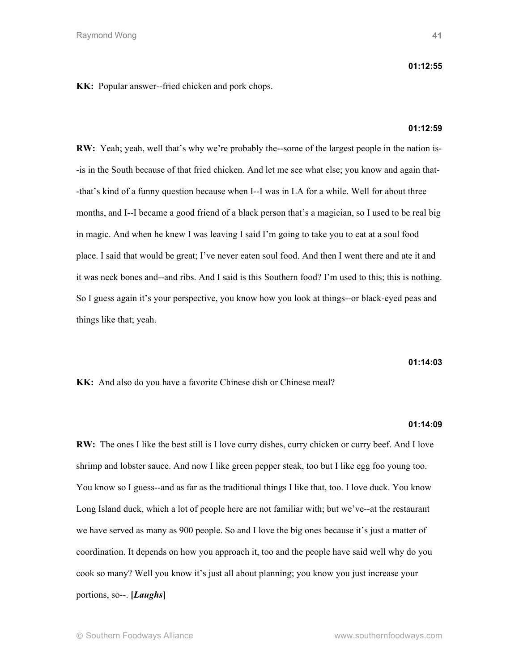## **01:12:55**

**KK:** Popular answer--fried chicken and pork chops.

## **01:12:59**

**RW:** Yeah; yeah, well that's why we're probably the--some of the largest people in the nation is- -is in the South because of that fried chicken. And let me see what else; you know and again that- -that's kind of a funny question because when I--I was in LA for a while. Well for about three months, and I--I became a good friend of a black person that's a magician, so I used to be real big in magic. And when he knew I was leaving I said I'm going to take you to eat at a soul food place. I said that would be great; I've never eaten soul food. And then I went there and ate it and it was neck bones and--and ribs. And I said is this Southern food? I'm used to this; this is nothing. So I guess again it's your perspective, you know how you look at things--or black-eyed peas and things like that; yeah.

**01:14:03**

**KK:** And also do you have a favorite Chinese dish or Chinese meal?

## **01:14:09**

**RW:** The ones I like the best still is I love curry dishes, curry chicken or curry beef. And I love shrimp and lobster sauce. And now I like green pepper steak, too but I like egg foo young too. You know so I guess--and as far as the traditional things I like that, too. I love duck. You know Long Island duck, which a lot of people here are not familiar with; but we've--at the restaurant we have served as many as 900 people. So and I love the big ones because it's just a matter of coordination. It depends on how you approach it, too and the people have said well why do you cook so many? Well you know it's just all about planning; you know you just increase your portions, so--. **[***Laughs***]**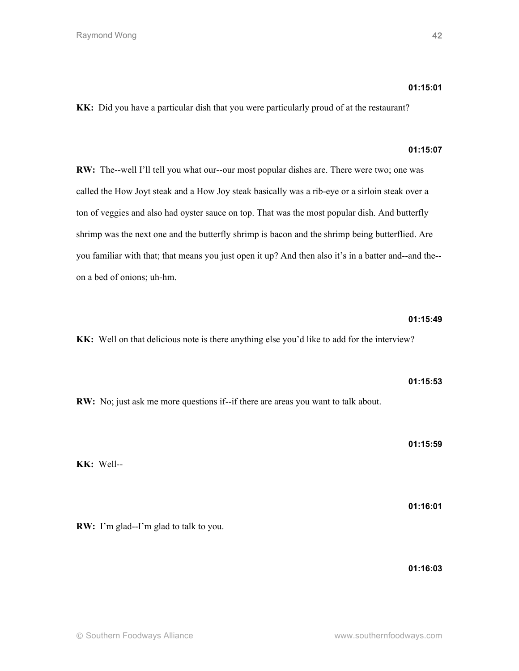# **01:15:01**

**KK:** Did you have a particular dish that you were particularly proud of at the restaurant?

# **01:15:07**

**RW:** The--well I'll tell you what our--our most popular dishes are. There were two; one was called the How Joyt steak and a How Joy steak basically was a rib-eye or a sirloin steak over a ton of veggies and also had oyster sauce on top. That was the most popular dish. And butterfly shrimp was the next one and the butterfly shrimp is bacon and the shrimp being butterflied. Are you familiar with that; that means you just open it up? And then also it's in a batter and--and the- on a bed of onions; uh-hm.

# **01:15:49**

**01:15:53**

**KK:** Well on that delicious note is there anything else you'd like to add for the interview?

**RW:** No; just ask me more questions if--if there are areas you want to talk about.

**01:15:59**

**KK:** Well--

**01:16:01**

**RW:** I'm glad--I'm glad to talk to you.